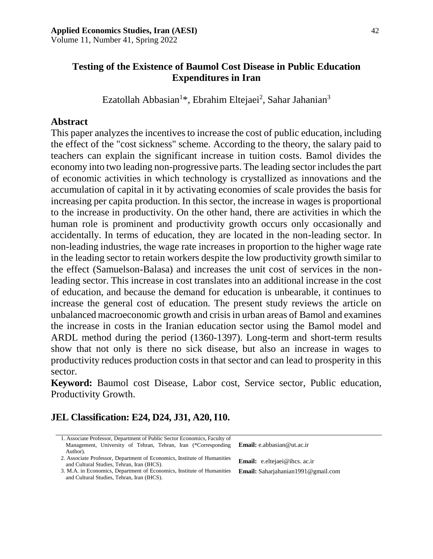Volume 11, Number 41, Spring 2022

#### **Testing of the Existence of Baumol Cost Disease in Public Education Expenditures in Iran**

Ezatollah Abbasian<sup>1\*</sup>, Ebrahim Eltejaei<sup>2</sup>, Sahar Jahanian<sup>3</sup>

#### **Abstract**

This paper analyzes the incentives to increase the cost of public education, including the effect of the "cost sickness" scheme. According to the theory, the salary paid to teachers can explain the significant increase in tuition costs. Bamol divides the economy into two leading non-progressive parts. The leading sector includes the part of economic activities in which technology is crystallized as innovations and the accumulation of capital in it by activating economies of scale provides the basis for increasing per capita production. In this sector, the increase in wages is proportional to the increase in productivity. On the other hand, there are activities in which the human role is prominent and productivity growth occurs only occasionally and accidentally. In terms of education, they are located in the non-leading sector. In non-leading industries, the wage rate increases in proportion to the higher wage rate in the leading sector to retain workers despite the low productivity growth similar to the effect (Samuelson-Balasa) and increases the unit cost of services in the nonleading sector. This increase in cost translates into an additional increase in the cost of education, and because the demand for education is unbearable, it continues to increase the general cost of education. The present study reviews the article on unbalanced macroeconomic growth and crisis in urban areas of Bamol and examines the increase in costs in the Iranian education sector using the Bamol model and ARDL method during the period (1360-1397). Long-term and short-term results show that not only is there no sick disease, but also an increase in wages to productivity reduces production costs in that sector and can lead to prosperity in this sector.

**Keyword:** Baumol cost Disease, Labor cost, Service sector, Public education, Productivity Growth.

# **JEL Classification: E24, D24, J31, A20, I10.**

- 1. Associate Professor, Department of Public Sector Economics, Faculty of Management, University of Tehran, Tehran, Iran (\*Corresponding Author).
- 2. Associate Professor, Department of Economics, Institute of Humanities<br> **Email:** [e.eltejaei@ihcs. ac.ir](mailto:e.eltejaei@gmail.com) and Cultural Studies, Tehran, Iran (IHCS).
- 3. M.A. in Economics, Department of Economics, Institute of Humanities **Email:** Saharjahanian1991@gmail.com and Cultural Studies, Tehran, Iran (IHCS).

**Email:** [e.abbasian@ut.ac.ir](mailto:e.abbasian@ut.ac.ir)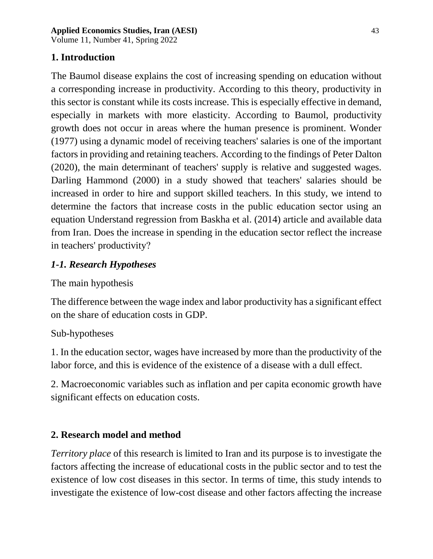Volume 11, Number 41, Spring 2022

## **1. Introduction**

The Baumol disease explains the cost of increasing spending on education without a corresponding increase in productivity. According to this theory, productivity in this sector is constant while its costs increase. This is especially effective in demand, especially in markets with more elasticity. According to Baumol, productivity growth does not occur in areas where the human presence is prominent. Wonder (1977) using a dynamic model of receiving teachers' salaries is one of the important factors in providing and retaining teachers. According to the findings of Peter Dalton (2020), the main determinant of teachers' supply is relative and suggested wages. Darling Hammond (2000) in a study showed that teachers' salaries should be increased in order to hire and support skilled teachers. In this study, we intend to determine the factors that increase costs in the public education sector using an equation Understand regression from Baskha et al. (2014) article and available data from Iran. Does the increase in spending in the education sector reflect the increase in teachers' productivity?

## *1-1. Research Hypotheses*

### The main hypothesis

The difference between the wage index and labor productivity has a significant effect on the share of education costs in GDP.

### Sub-hypotheses

1. In the education sector, wages have increased by more than the productivity of the labor force, and this is evidence of the existence of a disease with a dull effect.

2. Macroeconomic variables such as inflation and per capita economic growth have significant effects on education costs.

### **2. Research model and method**

*Territory place* of this research is limited to Iran and its purpose is to investigate the factors affecting the increase of educational costs in the public sector and to test the existence of low cost diseases in this sector. In terms of time, this study intends to investigate the existence of low-cost disease and other factors affecting the increase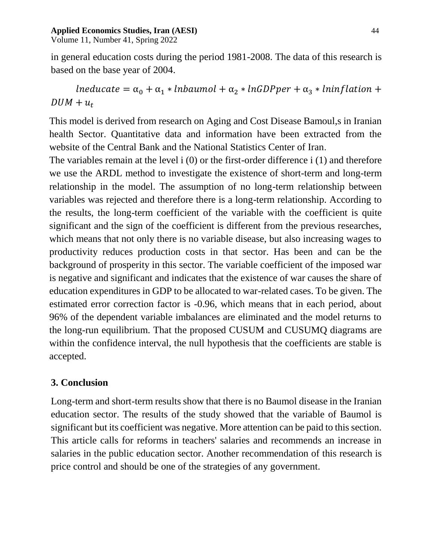#### **Applied Economics Studies, Iran (AESI)** 44

Volume 11, Number 41, Spring 2022

in general education costs during the period 1981-2008. The data of this research is based on the base year of 2004.

 $l$ neducate =  $\alpha_0 + \alpha_1 * l$ nbaumol +  $\alpha_2 * l$ nGDPper +  $\alpha_3 * l$ ninflation +  $DUM + u_t$ 

This model is derived from research on Aging and Cost Disease Bamoul,s in Iranian health Sector. Quantitative data and information have been extracted from the website of the Central Bank and the National Statistics Center of Iran.

The variables remain at the level i (0) or the first-order difference i (1) and therefore we use the ARDL method to investigate the existence of short-term and long-term relationship in the model. The assumption of no long-term relationship between variables was rejected and therefore there is a long-term relationship. According to the results, the long-term coefficient of the variable with the coefficient is quite significant and the sign of the coefficient is different from the previous researches, which means that not only there is no variable disease, but also increasing wages to productivity reduces production costs in that sector. Has been and can be the background of prosperity in this sector. The variable coefficient of the imposed war is negative and significant and indicates that the existence of war causes the share of education expenditures in GDP to be allocated to war-related cases. To be given. The estimated error correction factor is -0.96, which means that in each period, about 96% of the dependent variable imbalances are eliminated and the model returns to the long-run equilibrium. That the proposed CUSUM and CUSUMQ diagrams are within the confidence interval, the null hypothesis that the coefficients are stable is accepted.

### **3. Conclusion**

Long-term and short-term results show that there is no Baumol disease in the Iranian education sector. The results of the study showed that the variable of Baumol is significant but its coefficient was negative. More attention can be paid to this section. This article calls for reforms in teachers' salaries and recommends an increase in salaries in the public education sector. Another recommendation of this research is price control and should be one of the strategies of any government.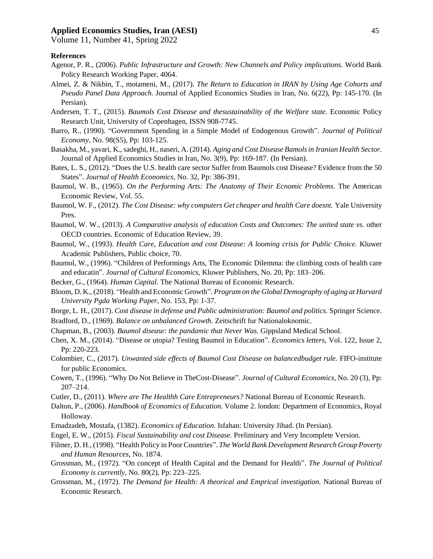#### **Applied Economics Studies, Iran (AESI)** 45

Volume 11, Number 41, Spring 2022

#### **References**

- Agenor, P. R., (2006). *Public Infrastructure and Growth: New Channels and Policy implications.* World Bank Policy Research Working Paper, 4064.
- Almei, Z. & Nikbin, T., motameni, M., (2017). *The Return to Education in IRAN by Using Age Cohorts and Pseudo Panel Data Approach.* Journal of Applied Economics Studies in Iran, No. 6(22), Pp: 145-170. (In Persian).
- Andersen, T. T., (2015). *Baumols Cost Disease and thesustainability of the Welfare state.* Economic Policy Research Unit, University of Copenhagen, ISSN 908-7745.
- Barro, R., (1990). "Government Spending in a Simple Model of Endogenous Growth". *Journal of Political Economy*, No. 98(S5), Pp: 103-125.
- Basakha, M., yavari, K., sadeghi, H., naseri, A. (2014). *Aging and Cost Disease Bamols in Iranian Health Sector*. Journal of Applied Economics Studies in Iran, No. 3(9), Pp: 169-187. (In Persian).
- Bates, L. S., (2012). "Does the U.S. health care sector Suffer from Baumols cost Disease? Evidence from the 50 States". *Journal of Health Economics,* No. 32, Pp: 386-391.
- Baumol, W. B., (1965). *On the Performing Arts: The Anatomy of Their Ecnomic Problems.* The American Economic Review, Vol. 55.
- Baumol, W. F., (2012). *The Cost Disease: why computers Get cheaper and health Care doesnt.* Yale University Pres.
- Baumol, W. W., (2013). *A Comparative analysis of education Costs and Outcomes: The united state vs.* other OECD countries. Economic of Education Review, 39.
- Baumol, W., (1993). *Health Care, Education and cost Disease: A looming crisis for Public Choice.* Kluwer Academic Publishers, Public choice, 70.
- Baumol, W., (1996). "Children of Performings Arts, The Economic Dilemma: the climbing costs of health care and educatin". *Journal of Cultural Economics*, Kluwer Publishers, No. 20, Pp: 183–206.
- Becker, G., (1964). *Human Capital.* The National Bureau of Economic Research.
- Bloom, D. K., (2018). "Health and Economic Growth". *Program on the Global Demography of aging at Harvard University Pgda Working Paper*, No. 153, Pp: 1-37.
- Borge, L. H., (2017). *Cost disease in defense and Public administration: Baumol and politics.* Springer Science.
- Bradford, D., (1969). *Balance on unbalanced Growth.* Zeitschrift fur Nationaloknomic.
- Chapman, B., (2003). *Baumol disease: the pandamic that Never Was.* Gippsland Medical School.
- Chen, X. M., (2014). "Disease or utopia? Testing Baumol in Education". *Economics letters,* Vol. 122, Issue 2, Pp: 220-223.
- Colombier, C., (2017). *Unwanted side effects of Baumol Cost Disease on balancedbudget rule.* FIFO-institute for public Economics.
- Cowen, T., (1996). "Why Do Not Believe in TheCost-Disease". *Journal of Cultural Economics,* No. 20 (3), Pp: 207–214.
- Cutler, D., (2011). *Where are The Healthh Care Entrepreneurs?* National Bureau of Economic Research.
- Dalton, P., (2006). *Handbook of Economics of Education.* Volume 2. london: Department of Economics, Royal Holloway.
- Emadzadeh, Mostafa, (1382). *Economics of Education*. Isfahan: University Jihad. (In Persian).
- Engel, E. W., (2015). *Fiscal Sustainability and cost Disease.* Preliminary and Very Incomplete Version.
- Filmer, D. H., (1998). "Health Policy in Poor Countries". *The World Bank Development Research Group Poverty and Human Resources,* No. 1874.
- Grossman, M., (1972). "On concept of Health Capital and the Demand for Health". *The Journal of Political Economy is currently*, No. 80(2), Pp: 223–225.
- Grossman, M., (1972). *The Demand for Health: A theorical and Emprical investigation.* National Bureau of Economic Research.